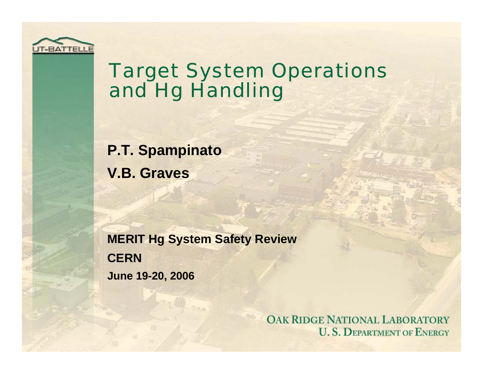

#### Target System Operations and Hg Handling

**P.T. Spampinato V.B. Graves**

**MERIT Hg System Safety Review CERNJune 19-20, 2006**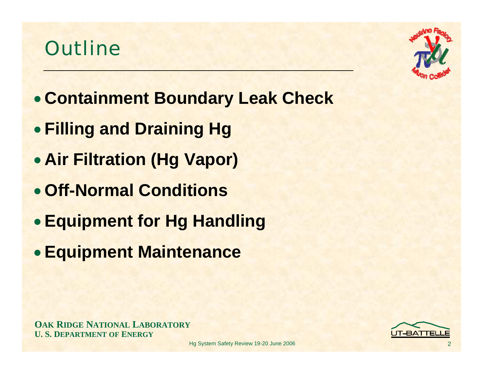#### **Outline**



- **Containment Boundary Leak Check**
- **Filling and Draining Hg**
- **Air Filtration (Hg Vapor)**
- **Off-Normal Conditions**
- **Equipment for Hg Handling**
- **Equipment Maintenance**

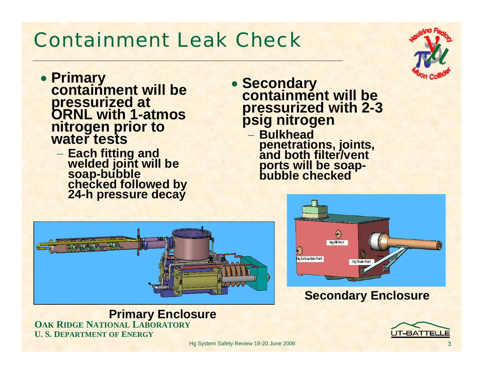#### Containment Leak Check

- **Primary containment will be pressurized at ORNL with 1-atmos nitrogen prior to water tests**
	- **Each fitting and welded joint will be soap-bubble checked followed by 24-h pressure decay**
- **Secondary containment will be pressurized with 2-3 psig nitrogen**
	- − **Bulkhead penetrations, joints, and both filter/vent ports will be soap- bubble checked**



**OAK RIDGE NATIONAL LABORATORY U. S. DEPARTMENT OF ENERGYPrimary Enclosure**



#### **Secondary Enclosure**

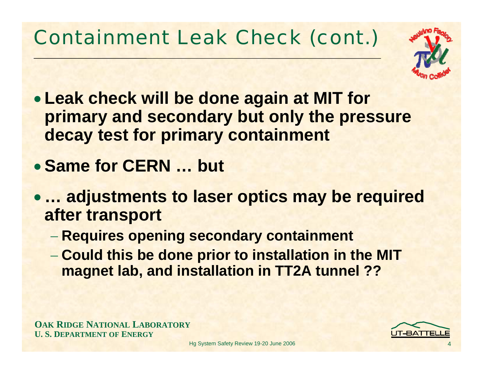# Containment Leak Check (cont.)



- **Leak check will be done again at MIT for primary and secondary but only the pressure decay test for primary containment**
- **Same for CERN … but**
- **… adjustments to laser optics may be required after transport**
	- **Requires opening secondary containment**
	- **Could this be done prior to installation in the MIT magnet lab, and installation in TT2A tunnel ??**

**OAK RIDGE NATIONAL LABORATORY U. S. DEPARTMENT OF ENERGY**



4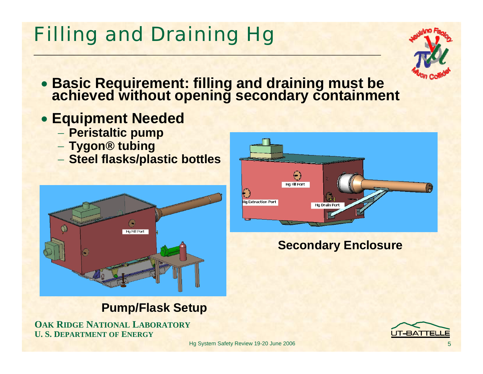# Filling and Draining Hg



- **Basic Requirement: filling and draining must be achieved without opening secondary containment**
- **Equipment Needed**
	- **Peristaltic pump**
	- **Tygon® tubing**
	- **Steel flasks/plastic bottles**



#### **Pump/Flask Setup**

**OAK RIDGE NATIONAL LABORATORY U. S. DEPARTMENT OF ENERGY**



#### **Secondary Enclosure**

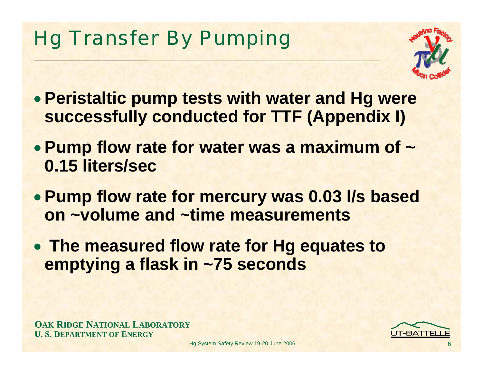# Hg Transfer By Pumping



- **Peristaltic pump tests with water and Hg were successfully conducted for TTF (Appendix I)**
- **Pump flow rate for water was a maximum of ~ 0.15 liters/sec**
- **Pump flow rate for mercury was 0.03 l/s based on ~volume and ~time measurements**
- **The measured flow rate for Hg equates to emptying a flask in ~75 seconds**

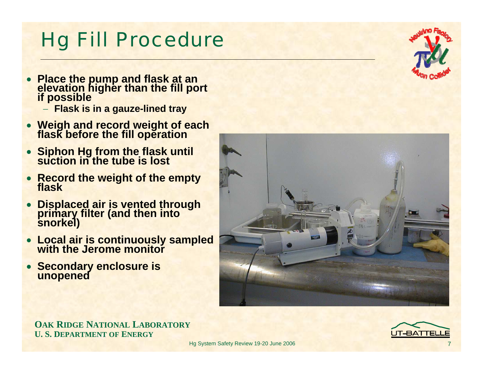IT-BATTEL

7

**OAK RIDGE NATIONAL LABORATORY U. S. DEPARTMENT OF ENERGY**

• **Secondary enclosure is unopened**

- **Displaced air is vented through primary filter (and then into snorkel)**
- **Record the weight of the empty flask**
- **Siphon Hg from the flask until suction in the tube is lost**
- **Place the pump and flask at an elevation higher than the fill port if possible** − **Flask is in a gauze-lined tray**

Hg Fill Procedure

- **Weigh and record weight of each flask before the fill operation**
- 





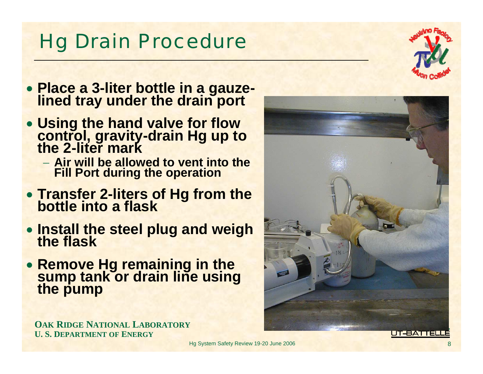## Hg Drain Procedure

- **Place a 3-liter bottle in a gauze- lined tray under the drain port**
- **Using the hand valve for flow control, gravity-drain Hg up to the 2-liter mark**
	- − **Air will be allowed to vent into the Fill Port during the operation**
- **Transfer 2-liters of Hg from the bottle into a flask**
- **Install the steel plug and weigh the flask**
- **Remove Hg remaining in the sump tank or drain line using the pump**



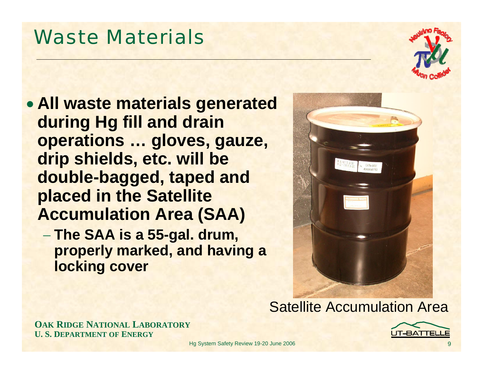Waste Materials

- **All waste materials generated during Hg fill and drain operations … gloves, gauze, drip shields, etc. will be double-bagged, taped and placed in the Satellite Accumulation Area (SAA)**
	- **The SAA is a 55-gal. drum, properly marked, and having a locking cover**



#### Satellite Accumulation Area



**OAK RIDGE NATIONAL LABORATORY U. S. DEPARTMENT OF ENERGY**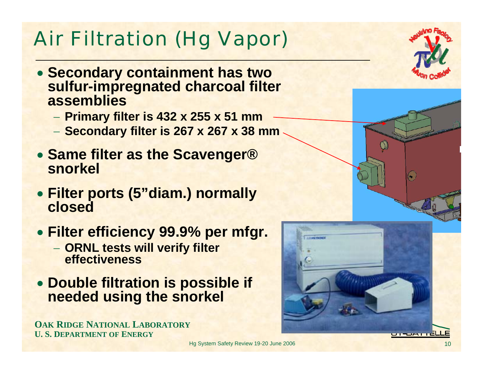# Air Filtration (Hg Vapor)

- **Secondary containment has two sulfur-impregnated charcoal filter assemblies**
	- **Primary filter is 432 x 255 x 51 mm**
	- **Secondary filter is 267 x 267 x 38 mm**
- **Same filter as the Scavenger® snorkel**
- **Filter ports (5"diam.) normally closed**
- **Filter efficiency 99.9% per mfgr.**
	- **ORNL tests will verify filter effectiveness**
- **Double filtration is possible if needed using the snorkel**

**OAK RIDGE NATIONAL LABORATORY U. S. DEPARTMENT OF ENERGY**

Hg System Safety Review 19-20 June 2006

u-paničl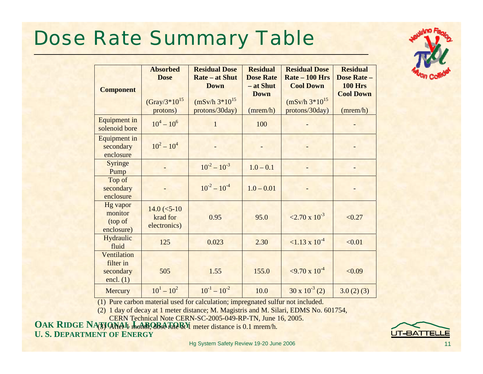## Dose Rate Summary Table



| <b>Component</b>                                     | <b>Absorbed</b><br><b>Dose</b><br>$(Gray/3*10^{15})$<br>protons) | <b>Residual Dose</b><br><b>Rate – at Shut</b><br><b>Down</b><br>$(mSv/h 3*10^{15})$<br>protons/30day) | <b>Residual</b><br><b>Dose Rate</b><br>- at Shut<br><b>Down</b><br>(mrem/h) | <b>Residual Dose</b><br>$Rate - 100$ Hrs<br><b>Cool Down</b><br>$(mSv/h 3*10^{15})$<br>protons/30day) | <b>Residual</b><br><b>Dose Rate -</b><br><b>100 Hrs</b><br><b>Cool Down</b><br>(mrem/h) |
|------------------------------------------------------|------------------------------------------------------------------|-------------------------------------------------------------------------------------------------------|-----------------------------------------------------------------------------|-------------------------------------------------------------------------------------------------------|-----------------------------------------------------------------------------------------|
| <b>Equipment</b> in<br>solenoid bore                 | $10^4 - 10^6$                                                    | $\mathbf{1}$                                                                                          | 100                                                                         |                                                                                                       |                                                                                         |
| <b>Equipment in</b><br>secondary<br>enclosure        | $10^2 - 10^4$                                                    |                                                                                                       |                                                                             |                                                                                                       |                                                                                         |
| Syringe<br>Pump                                      |                                                                  | $10^{-2} - 10^{-3}$                                                                                   | $1.0 - 0.1$                                                                 |                                                                                                       |                                                                                         |
| Top of<br>secondary<br>enclosure                     |                                                                  | $10^{-2} - 10^{-4}$                                                                                   | $1.0 - 0.01$                                                                |                                                                                                       |                                                                                         |
| <b>Hg</b> vapor<br>monitor<br>(top of<br>enclosure)  | $14.0$ (<5-10)<br>krad for<br>electronics)                       | 0.95                                                                                                  | 95.0                                                                        | $\approx 2.70 \times 10^{-3}$                                                                         | < 0.27                                                                                  |
| Hydraulic<br>fluid                                   | 125                                                              | 0.023                                                                                                 | 2.30                                                                        | $\approx 1.13 \times 10^{-4}$                                                                         | < 0.01                                                                                  |
| Ventilation<br>filter in<br>secondary<br>encl. $(1)$ | 505                                                              | 1.55                                                                                                  | 155.0                                                                       | $\approx$ 9.70 x 10 <sup>-4</sup>                                                                     | < 0.09                                                                                  |
| Mercury                                              | $10^{1} - 10^{2}$                                                | $10^{-1} - 10^{-2}$                                                                                   | 10.0                                                                        | $30 \times 10^{-3}$ (2)                                                                               | 3.0(2)(3)                                                                               |

(1) Pure carbon material used for calculation; impregnated sulfur not included.

(2) 1 day of decay at 1 meter distance; M. Magistris and M. Silari, EDMS No. 601754,

CERN Technical Note CERN-SC-2005-049-RP-TN, June 16, 2005.

**OAK RIDGE NATIONAL LABORATORY U. S. DEPARTMENT OF ENERGY**(3) After 4 month, dose rate at  $4$  meter distance is 0.1 mrcm/h.

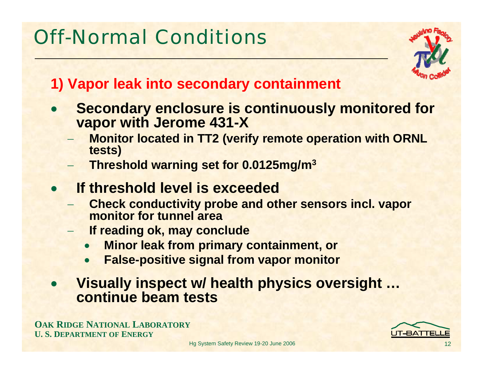# Off-Normal Conditions



#### **1) Vapor leak into secondary containment**

- $\bullet$  **Secondary enclosure is continuously monitored for vapor with Jerome 431-X**
	- **Monitor located in TT2 (verify remote operation with ORNL tests)**
	- **Threshold warning set for 0.0125mg/m3**
- $\bullet$  **If threshold level is exceeded**
	- **Check conductivity probe and other sensors incl. vapor monitor for tunnel area**
	- **If reading ok, may conclude**
		- •**Minor leak from primary containment, or**
		- •**False-positive signal from vapor monitor**
- $\bullet$  **Visually inspect w/ health physics oversight … continue beam tests**

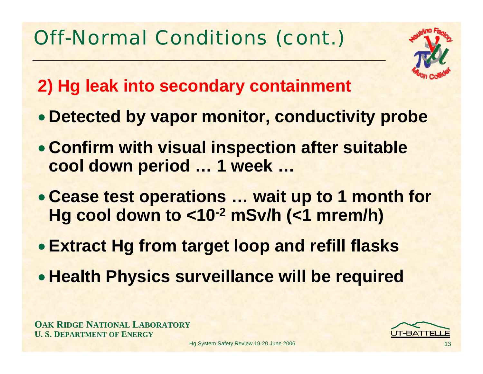

- **2) Hg leak into secondary containment**
- **Detected by vapor monitor, conductivity probe**
- **Confirm with visual inspection after suitable cool down period … 1 week …**
- **Cease test operations … wait up to 1 month for Hg cool down to <10-2 mSv/h (<1 mrem/h)**
- **Extract Hg from target loop and refill flasks**
- **Health Physics surveillance will be required**



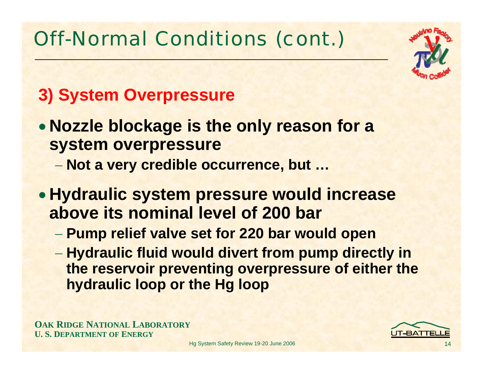

#### **3) System Overpressure**

- **Nozzle blockage is the only reason for a system overpressure**
	- **Not a very credible occurrence, but …**
- **Hydraulic system pressure would increase above its nominal level of 200 bar**
	- **Pump relief valve set for 220 bar would open**
	- **Hydraulic fluid would divert from pump directly in the reservoir preventing overpressure of either the hydraulic loop or the Hg loop**

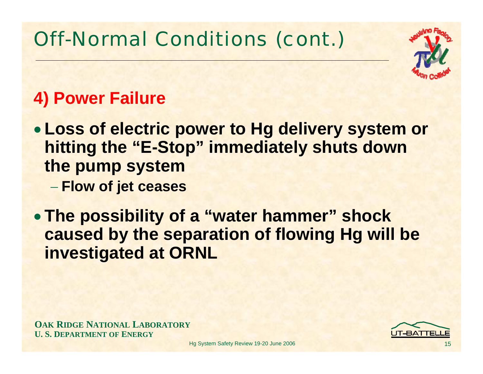

#### **4) Power Failure**

- **Loss of electric power to Hg delivery system or hitting the "E-Stop" immediately shuts down the pump system**
	- **Flow of jet ceases**
- **The possibility of a "water hammer" shock caused by the separation of flowing Hg will be investigated at ORNL**

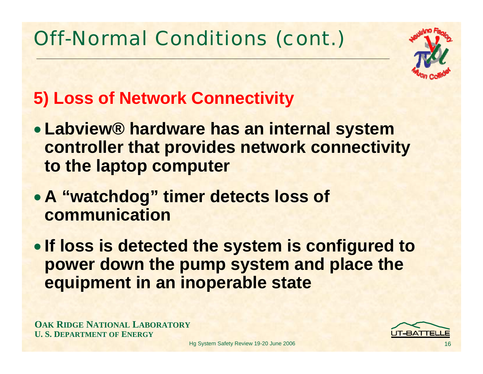

#### **5) Loss of Network Connectivity**

- **Labview® hardware has an internal system controller that provides network connectivity to the laptop computer**
- **A "watchdog" timer detects loss of communication**
- **If loss is detected the system is configured to power down the pump system and place the equipment in an inoperable state**

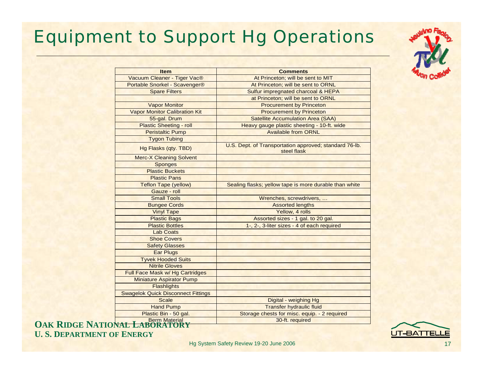#### Equipment to Support Hg Operations



| <b>Item</b>                               | <b>Comments</b>                                                       |  |  |
|-------------------------------------------|-----------------------------------------------------------------------|--|--|
| Vacuum Cleaner - Tiger Vac®               | At Princeton; will be sent to MIT                                     |  |  |
| Portable Snorkel - Scavenger®             | At Princeton; will be sent to ORNL                                    |  |  |
| <b>Spare Filters</b>                      | Sulfur impregnated charcoal & HEPA                                    |  |  |
|                                           | at Princeton; will be sent to ORNL                                    |  |  |
| <b>Vapor Monitor</b>                      | <b>Procurement by Princeton</b>                                       |  |  |
| <b>Vapor Monitor Calibration Kit</b>      | <b>Procurement by Princeton</b>                                       |  |  |
| 55-gal. Drum                              | <b>Satellite Accumulation Area (SAA)</b>                              |  |  |
| <b>Plastic Sheeting - roll</b>            | Heavy gauge plastic sheeting - 10-ft. wide                            |  |  |
| <b>Peristaltic Pump</b>                   | <b>Available from ORNL</b>                                            |  |  |
| <b>Tygon Tubing</b>                       |                                                                       |  |  |
| Hg Flasks (qty. TBD)                      | U.S. Dept. of Transportation approved; standard 76-lb.<br>steel flask |  |  |
| <b>Merc-X Cleaning Solvent</b>            |                                                                       |  |  |
| <b>Sponges</b>                            |                                                                       |  |  |
| <b>Plastic Buckets</b>                    |                                                                       |  |  |
| <b>Plastic Pans</b>                       |                                                                       |  |  |
| <b>Teflon Tape (yellow)</b>               | Sealing flasks; yellow tape is more durable than white                |  |  |
| Gauze - roll                              |                                                                       |  |  |
| <b>Small Tools</b>                        | Wrenches, screwdrivers,                                               |  |  |
| <b>Bungee Cords</b>                       | <b>Assorted lengths</b>                                               |  |  |
| <b>Vinyl Tape</b>                         | Yellow, 4 rolls                                                       |  |  |
| <b>Plastic Bags</b>                       | Assorted sizes - 1 gal. to 20 gal.                                    |  |  |
| <b>Plastic Bottles</b>                    | 1-, 2-, 3-liter sizes - 4 of each required                            |  |  |
| <b>Lab Coats</b>                          |                                                                       |  |  |
| <b>Shoe Covers</b>                        |                                                                       |  |  |
| <b>Safety Glasses</b>                     |                                                                       |  |  |
| <b>Ear Plugs</b>                          |                                                                       |  |  |
| <b>Tyvek Hooded Suits</b>                 |                                                                       |  |  |
| <b>Nitrile Gloves</b>                     |                                                                       |  |  |
| Full Face Mask w/ Hg Cartridges           |                                                                       |  |  |
| <b>Miniature Aspirator Pump</b>           |                                                                       |  |  |
| <b>Flashlights</b>                        |                                                                       |  |  |
| <b>Swagelok Quick Disconnect Fittings</b> |                                                                       |  |  |
| <b>Scale</b>                              | Digital - weighing Hg                                                 |  |  |
| <b>Hand Pump</b>                          | <b>Transfer hydraulic fluid</b>                                       |  |  |
| Plastic Bin - 50 gal.                     | Storage chests for misc. equip. - 2 required                          |  |  |
| Deve Meterial                             | $20.44$ required                                                      |  |  |

**OAK RIDGE NATIONAL LABORATORY** 30-ft. required **U. S. DEPARTMENT OF ENERGY**

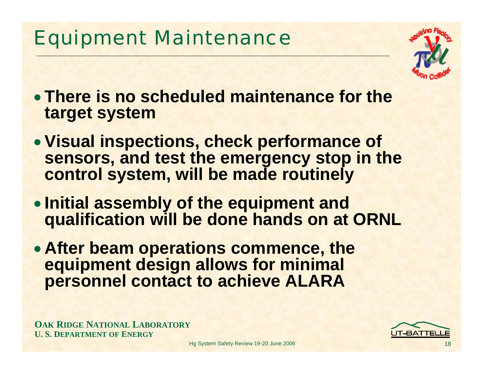## Equipment Maintenance



- **There is no scheduled maintenance for the target system**
- **Visual inspections, check performance of sensors, and test the emergency stop in the control system, will be made routinely**
- **Initial assembly of the equipment and qualification will be done hands on at ORNL**
- **After beam operations commence, the equipment design allows for minimal personnel contact to achieve ALARA**